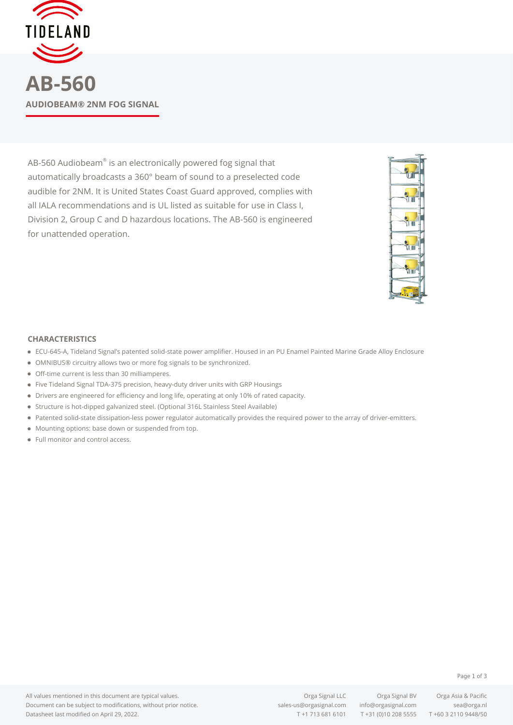

AB-560 Audiobeam $^\circ$  is an electronically powered fog signal that automatically broadcasts a 360° beam of sound to a preselected code audible for 2NM. It is United States Coast Guard approved, complies with all IALA recommendations and is UL listed as suitable for use in Class I, Division 2, Group C and D hazardous locations. The AB-560 is engineered for unattended operation.



## **CHARACTERISTICS**

- ECU-645-A, Tideland Signal's patented solid-state power amplifier. Housed in an PU Enamel Painted Marine Grade Alloy Enclosure
- OMNIBUS® circuitry allows two or more fog signals to be synchronized.
- Off-time current is less than 30 milliamperes.
- Five Tideland Signal TDA-375 precision, heavy-duty driver units with GRP Housings
- Drivers are engineered for efficiency and long life, operating at only 10% of rated capacity.
- Structure is hot-dipped galvanized steel. (Optional 316L Stainless Steel Available)
- Patented solid-state dissipation-less power regulator automatically provides the required power to the array of driver-emitters.
- $\bullet$  Mounting options: base down or suspended from top.
- Full monitor and control access.

Page 1 of 3

All values mentioned in this document are typical values. Document can be subject to modifications, without prior notice. Datasheet last modified on April 29, 2022.

Orga Signal LLC Orga Signal BV Orga Asia & Pacific [sales-us@orgasignal.com](mailto:sales-us@orgasignal.com) [info@orgasignal.com](mailto:info@orgasignal.com) [sea@orga.nl](mailto:sales-us@orgasignal.com)

T +1 713 681 6101 T +31 (0)10 208 5555 T +60 3 2110 9448/50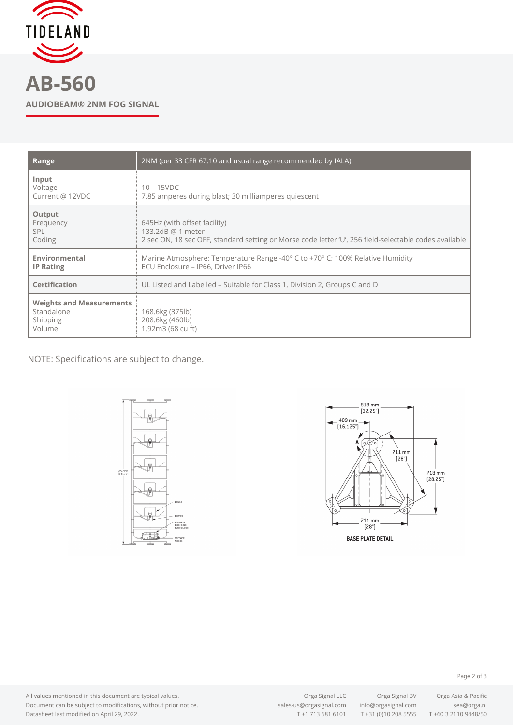

| _______ |  |                           |
|---------|--|---------------------------|
|         |  | AUDIOBEAM® 2NM FOG SIGNAL |
|         |  |                           |

| Range                                                               | 2NM (per 33 CFR 67.10 and usual range recommended by IALA)                                                                                                 |  |  |
|---------------------------------------------------------------------|------------------------------------------------------------------------------------------------------------------------------------------------------------|--|--|
| Input<br>Voltage<br>Current @ 12VDC                                 | $10 - 15$ VDC<br>7.85 amperes during blast; 30 milliamperes quiescent                                                                                      |  |  |
| Output<br>Frequency<br>SPL.<br>Coding                               | 645Hz (with offset facility)<br>133.2dB @ 1 meter<br>2 sec ON, 18 sec OFF, standard setting or Morse code letter 'U', 256 field-selectable codes available |  |  |
| Environmental<br><b>IP Rating</b>                                   | Marine Atmosphere; Temperature Range -40° C to +70° C; 100% Relative Humidity<br>ECU Enclosure - IP66, Driver IP66                                         |  |  |
| Certification                                                       | UL Listed and Labelled – Suitable for Class 1, Division 2, Groups C and D                                                                                  |  |  |
| <b>Weights and Measurements</b><br>Standalone<br>Shipping<br>Volume | 168.6kg (375lb)<br>208.6kg (460lb)<br>1.92m3 (68 cu ft)                                                                                                    |  |  |

NOTE: Specifications are subject to change.





Page 2 of 3